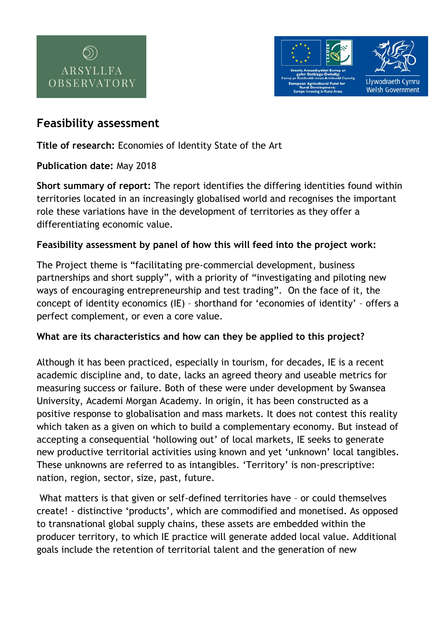



# **Feasibility assessment**

**Title of research:** Economies of Identity State of the Art

## **Publication date:** May 2018

**Short summary of report:** The report identifies the differing identities found within territories located in an increasingly globalised world and recognises the important role these variations have in the development of territories as they offer a differentiating economic value.

## **Feasibility assessment by panel of how this will feed into the project work:**

The Project theme is "facilitating pre-commercial development, business partnerships and short supply", with a priority of "investigating and piloting new ways of encouraging entrepreneurship and test trading". On the face of it, the concept of identity economics (IE) – shorthand for 'economies of identity' – offers a perfect complement, or even a core value.

## **What are its characteristics and how can they be applied to this project?**

Although it has been practiced, especially in tourism, for decades, IE is a recent academic discipline and, to date, lacks an agreed theory and useable metrics for measuring success or failure. Both of these were under development by Swansea University, Academi Morgan Academy. In origin, it has been constructed as a positive response to globalisation and mass markets. It does not contest this reality which taken as a given on which to build a complementary economy. But instead of accepting a consequential 'hollowing out' of local markets, IE seeks to generate new productive territorial activities using known and yet 'unknown' local tangibles. These unknowns are referred to as intangibles. 'Territory' is non-prescriptive: nation, region, sector, size, past, future.

What matters is that given or self-defined territories have – or could themselves create! - distinctive 'products', which are commodified and monetised. As opposed to transnational global supply chains, these assets are embedded within the producer territory, to which IE practice will generate added local value. Additional goals include the retention of territorial talent and the generation of new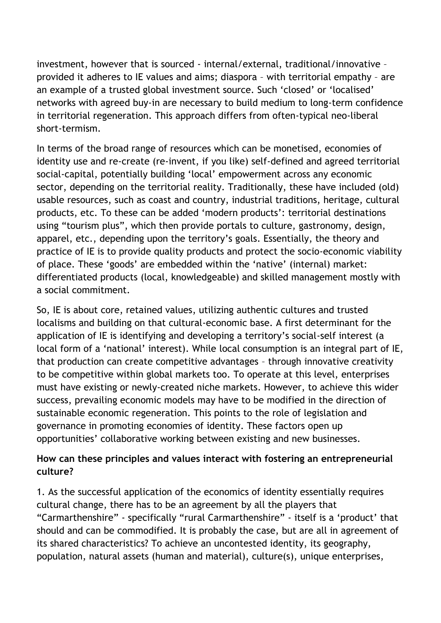investment, however that is sourced - internal/external, traditional/innovative – provided it adheres to IE values and aims; diaspora – with territorial empathy – are an example of a trusted global investment source. Such 'closed' or 'localised' networks with agreed buy-in are necessary to build medium to long-term confidence in territorial regeneration. This approach differs from often-typical neo-liberal short-termism.

In terms of the broad range of resources which can be monetised, economies of identity use and re-create (re-invent, if you like) self-defined and agreed territorial social-capital, potentially building 'local' empowerment across any economic sector, depending on the territorial reality. Traditionally, these have included (old) usable resources, such as coast and country, industrial traditions, heritage, cultural products, etc. To these can be added 'modern products': territorial destinations using "tourism plus", which then provide portals to culture, gastronomy, design, apparel, etc., depending upon the territory's goals. Essentially, the theory and practice of IE is to provide quality products and protect the socio-economic viability of place. These 'goods' are embedded within the 'native' (internal) market: differentiated products (local, knowledgeable) and skilled management mostly with a social commitment.

So, IE is about core, retained values, utilizing authentic cultures and trusted localisms and building on that cultural-economic base. A first determinant for the application of IE is identifying and developing a territory's social-self interest (a local form of a 'national' interest). While local consumption is an integral part of IE, that production can create competitive advantages – through innovative creativity to be competitive within global markets too. To operate at this level, enterprises must have existing or newly-created niche markets. However, to achieve this wider success, prevailing economic models may have to be modified in the direction of sustainable economic regeneration. This points to the role of legislation and governance in promoting economies of identity. These factors open up opportunities' collaborative working between existing and new businesses.

## **How can these principles and values interact with fostering an entrepreneurial culture?**

1. As the successful application of the economics of identity essentially requires cultural change, there has to be an agreement by all the players that "Carmarthenshire" - specifically "rural Carmarthenshire" - itself is a 'product' that should and can be commodified. It is probably the case, but are all in agreement of its shared characteristics? To achieve an uncontested identity, its geography, population, natural assets (human and material), culture(s), unique enterprises,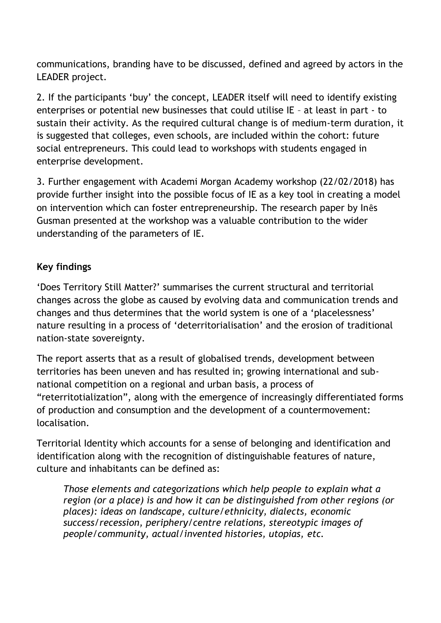communications, branding have to be discussed, defined and agreed by actors in the LEADER project.

2. If the participants 'buy' the concept, LEADER itself will need to identify existing enterprises or potential new businesses that could utilise IE – at least in part - to sustain their activity. As the required cultural change is of medium-term duration, it is suggested that colleges, even schools, are included within the cohort: future social entrepreneurs. This could lead to workshops with students engaged in enterprise development.

3. Further engagement with Academi Morgan Academy workshop (22/02/2018) has provide further insight into the possible focus of IE as a key tool in creating a model on intervention which can foster entrepreneurship. The research paper by Inês Gusman presented at the workshop was a valuable contribution to the wider understanding of the parameters of IE.

## **Key findings**

'Does Territory Still Matter?' summarises the current structural and territorial changes across the globe as caused by evolving data and communication trends and changes and thus determines that the world system is one of a 'placelessness' nature resulting in a process of 'deterritorialisation' and the erosion of traditional nation-state sovereignty.

The report asserts that as a result of globalised trends, development between territories has been uneven and has resulted in; growing international and subnational competition on a regional and urban basis, a process of "reterritotialization", along with the emergence of increasingly differentiated forms of production and consumption and the development of a countermovement: localisation.

Territorial Identity which accounts for a sense of belonging and identification and identification along with the recognition of distinguishable features of nature, culture and inhabitants can be defined as:

*Those elements and categorizations which help people to explain what a region (or a place) is and how it can be distinguished from other regions (or places): ideas on landscape, culture/ethnicity, dialects, economic success/recession, periphery/centre relations, stereotypic images of people/community, actual/invented histories, utopias, etc.*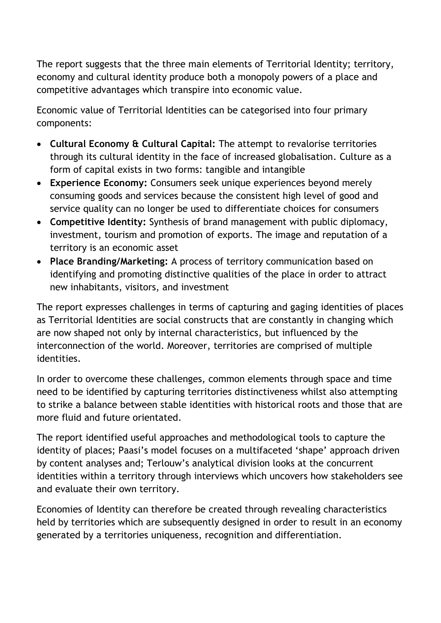The report suggests that the three main elements of Territorial Identity; territory, economy and cultural identity produce both a monopoly powers of a place and competitive advantages which transpire into economic value.

Economic value of Territorial Identities can be categorised into four primary components:

- **Cultural Economy & Cultural Capital:** The attempt to revalorise territories through its cultural identity in the face of increased globalisation. Culture as a form of capital exists in two forms: tangible and intangible
- **Experience Economy:** Consumers seek unique experiences beyond merely consuming goods and services because the consistent high level of good and service quality can no longer be used to differentiate choices for consumers
- **Competitive Identity:** Synthesis of brand management with public diplomacy, investment, tourism and promotion of exports. The image and reputation of a territory is an economic asset
- **Place Branding/Marketing:** A process of territory communication based on identifying and promoting distinctive qualities of the place in order to attract new inhabitants, visitors, and investment

The report expresses challenges in terms of capturing and gaging identities of places as Territorial Identities are social constructs that are constantly in changing which are now shaped not only by internal characteristics, but influenced by the interconnection of the world. Moreover, territories are comprised of multiple identities.

In order to overcome these challenges, common elements through space and time need to be identified by capturing territories distinctiveness whilst also attempting to strike a balance between stable identities with historical roots and those that are more fluid and future orientated.

The report identified useful approaches and methodological tools to capture the identity of places; Paasi's model focuses on a multifaceted 'shape' approach driven by content analyses and; Terlouw's analytical division looks at the concurrent identities within a territory through interviews which uncovers how stakeholders see and evaluate their own territory.

Economies of Identity can therefore be created through revealing characteristics held by territories which are subsequently designed in order to result in an economy generated by a territories uniqueness, recognition and differentiation.